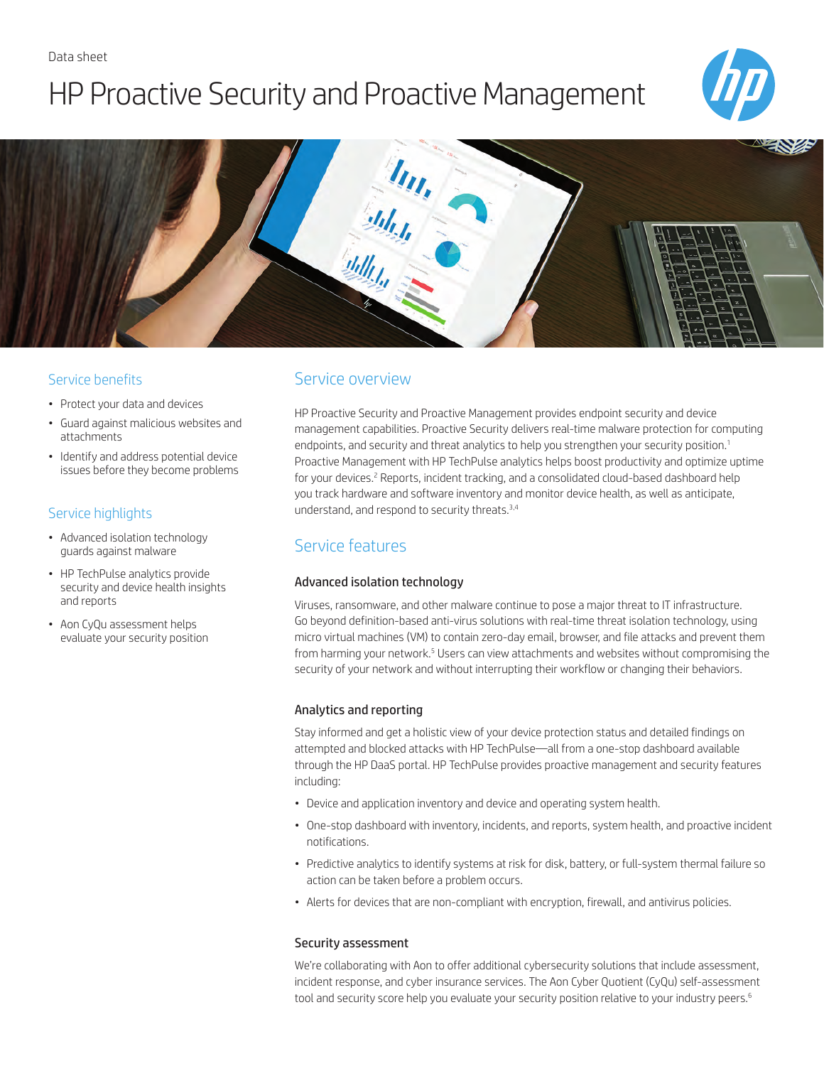# HP Proactive Security and Proactive Management





## Service benefits

- Protect your data and devices
- Guard against malicious websites and attachments
- Identify and address potential device issues before they become problems

## Service highlights

- Advanced isolation technology guards against malware
- HP TechPulse analytics provide security and device health insights and reports
- Aon CyQu assessment helps evaluate your security position

## Service overview

HP Proactive Security and Proactive Management provides endpoint security and device management capabilities. Proactive Security delivers real-time malware protection for computing endpoints, and security and threat analytics to help you strengthen your security position.<sup>1</sup> Proactive Management with HP TechPulse analytics helps boost productivity and optimize uptime for your devices.<sup>2</sup> Reports, incident tracking, and a consolidated cloud-based dashboard help you track hardware and software inventory and monitor device health, as well as anticipate, understand, and respond to security threats.3,4

# Service features

## Advanced isolation technology

Viruses, ransomware, and other malware continue to pose a major threat to IT infrastructure. Go beyond definition-based anti-virus solutions with real-time threat isolation technology, using micro virtual machines (VM) to contain zero-day email, browser, and file attacks and prevent them from harming your network.<sup>5</sup> Users can view attachments and websites without compromising the security of your network and without interrupting their workflow or changing their behaviors.

## Analytics and reporting

Stay informed and get a holistic view of your device protection status and detailed findings on attempted and blocked attacks with HP TechPulse—all from a one-stop dashboard available through the HP DaaS portal. HP TechPulse provides proactive management and security features including:

- Device and application inventory and device and operating system health.
- One-stop dashboard with inventory, incidents, and reports, system health, and proactive incident notifications.
- Predictive analytics to identify systems at risk for disk, battery, or full-system thermal failure so action can be taken before a problem occurs.
- Alerts for devices that are non-compliant with encryption, firewall, and antivirus policies.

#### Security assessment

We're collaborating with Aon to offer additional cybersecurity solutions that include assessment, incident response, and cyber insurance services. The Aon Cyber Quotient (CyQu) self-assessment tool and security score help you evaluate your security position relative to your industry peers.<sup>6</sup>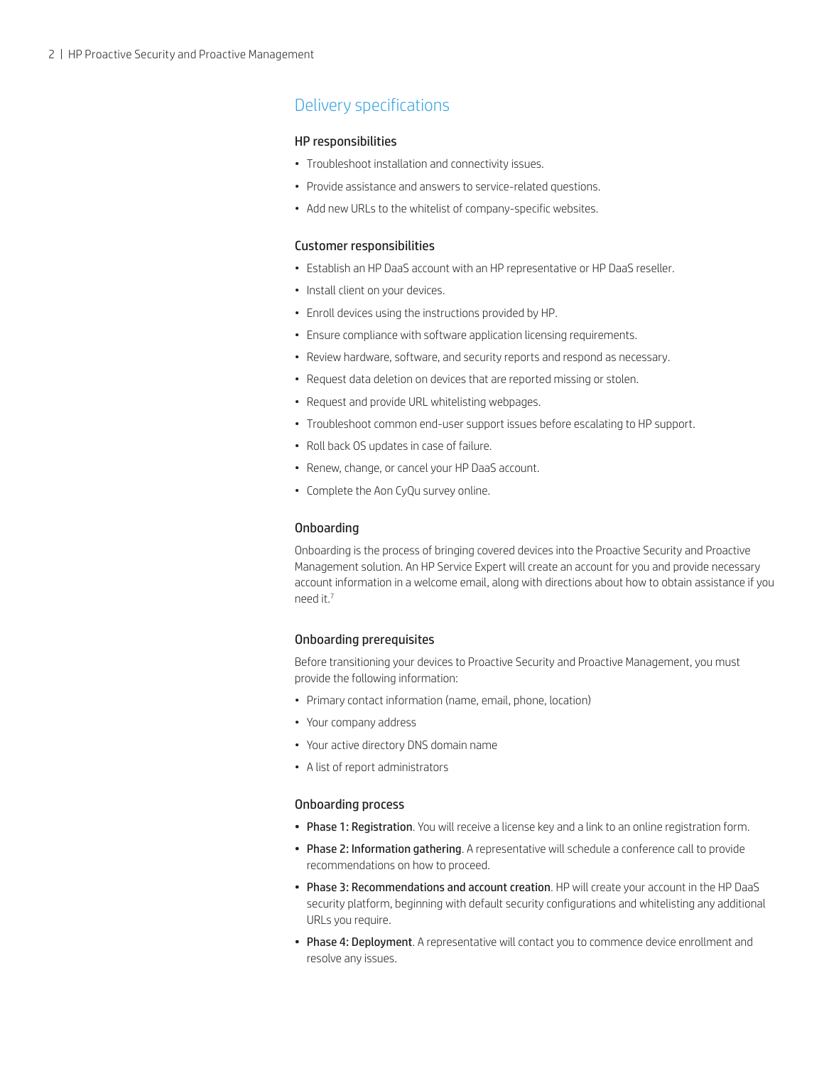# Delivery specifications

#### HP responsibilities

- Troubleshoot installation and connectivity issues.
- Provide assistance and answers to service-related questions.
- Add new URLs to the whitelist of company-specific websites.

#### Customer responsibilities

- Establish an HP DaaS account with an HP representative or HP DaaS reseller.
- Install client on your devices.
- Enroll devices using the instructions provided by HP.
- Ensure compliance with software application licensing requirements.
- Review hardware, software, and security reports and respond as necessary.
- Request data deletion on devices that are reported missing or stolen.
- Request and provide URL whitelisting webpages.
- Troubleshoot common end-user support issues before escalating to HP support.
- Roll back OS updates in case of failure.
- Renew, change, or cancel your HP DaaS account.
- Complete the Aon CyQu survey online.

#### Onboarding

Onboarding is the process of bringing covered devices into the Proactive Security and Proactive Management solution. An HP Service Expert will create an account for you and provide necessary account information in a welcome email, along with directions about how to obtain assistance if you need it.7

#### Onboarding prerequisites

Before transitioning your devices to Proactive Security and Proactive Management, you must provide the following information:

- Primary contact information (name, email, phone, location)
- Your company address
- Your active directory DNS domain name
- A list of report administrators

#### Onboarding process

- Phase 1: Registration. You will receive a license key and a link to an online registration form.
- Phase 2: Information gathering. A representative will schedule a conference call to provide recommendations on how to proceed.
- Phase 3: Recommendations and account creation. HP will create your account in the HP DaaS security platform, beginning with default security configurations and whitelisting any additional URLs you require.
- Phase 4: Deployment. A representative will contact you to commence device enrollment and resolve any issues.